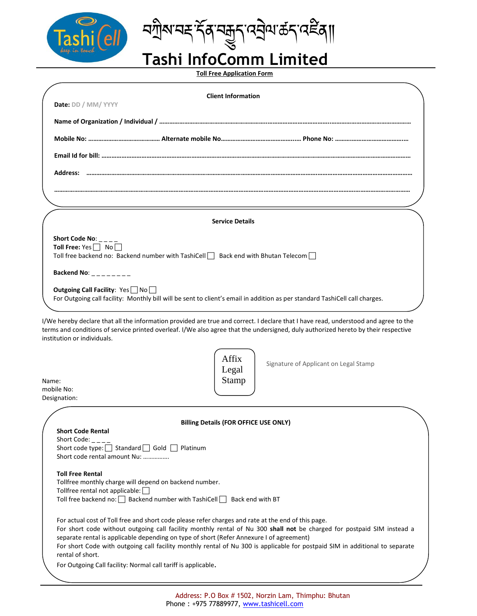

 **Tashi InfoComm Limited**

**Toll Free Application Form**

|       | <b>Client Information</b><br>Date: DD / MM/ YYYY                                                                                                                                                                                                                                                                                                                                                                                                                             |  |
|-------|------------------------------------------------------------------------------------------------------------------------------------------------------------------------------------------------------------------------------------------------------------------------------------------------------------------------------------------------------------------------------------------------------------------------------------------------------------------------------|--|
|       |                                                                                                                                                                                                                                                                                                                                                                                                                                                                              |  |
|       |                                                                                                                                                                                                                                                                                                                                                                                                                                                                              |  |
|       |                                                                                                                                                                                                                                                                                                                                                                                                                                                                              |  |
|       |                                                                                                                                                                                                                                                                                                                                                                                                                                                                              |  |
|       |                                                                                                                                                                                                                                                                                                                                                                                                                                                                              |  |
|       |                                                                                                                                                                                                                                                                                                                                                                                                                                                                              |  |
|       | <b>Service Details</b>                                                                                                                                                                                                                                                                                                                                                                                                                                                       |  |
|       | Short Code No: $_{---}$                                                                                                                                                                                                                                                                                                                                                                                                                                                      |  |
|       | Toll Free: Yes   No<br>Toll free backend no: Backend number with TashiCell   Back end with Bhutan Telecom                                                                                                                                                                                                                                                                                                                                                                    |  |
|       | Backend No: $\frac{1}{2}$ $\frac{1}{2}$ $\frac{1}{2}$ $\frac{1}{2}$ $\frac{1}{2}$ $\frac{1}{2}$                                                                                                                                                                                                                                                                                                                                                                              |  |
|       | Outgoing Call Facility: Yes No<br>For Outgoing call facility: Monthly bill will be sent to client's email in addition as per standard TashiCell call charges.                                                                                                                                                                                                                                                                                                                |  |
| Name: | I/We hereby declare that all the information provided are true and correct. I declare that I have read, understood and agree to the<br>terms and conditions of service printed overleaf. I/We also agree that the undersigned, duly authorized hereto by their respective<br>institution or individuals.<br>Affix<br>Signature of Applicant on Legal Stamp<br>Legal<br>Stamp                                                                                                 |  |
|       | mobile No:                                                                                                                                                                                                                                                                                                                                                                                                                                                                   |  |
|       | Designation:                                                                                                                                                                                                                                                                                                                                                                                                                                                                 |  |
|       | <b>Billing Details (FOR OFFICE USE ONLY)</b><br><b>Short Code Rental</b><br>Short Code: $_{---}$<br>Short code type: Standard Gold Platinum<br>Short code rental amount Nu:                                                                                                                                                                                                                                                                                                  |  |
|       | <b>Toll Free Rental</b><br>Tollfree monthly charge will depend on backend number.<br>Tollfree rental not applicable:<br>Toll free backend no: □ Backend number with TashiCell □ Back end with BT                                                                                                                                                                                                                                                                             |  |
|       | For actual cost of Toll free and short code please refer charges and rate at the end of this page.<br>For short code without outgoing call facility monthly rental of Nu 300 shall not be charged for postpaid SIM instead a<br>separate rental is applicable depending on type of short (Refer Annexure I of agreement)<br>For short Code with outgoing call facility monthly rental of Nu 300 is applicable for postpaid SIM in additional to separate<br>rental of short. |  |
|       | For Outgoing Call facility: Normal call tariff is applicable.                                                                                                                                                                                                                                                                                                                                                                                                                |  |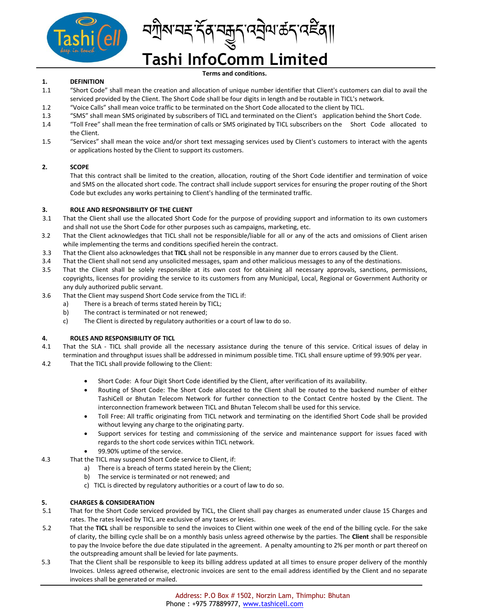

ᡪᢆॺ<sub>ඁ</sub>ᡆᡟᢋᡪᢆᠬᢋᡆᡆᢆ᠋ᢛᡪᢆᠬ᠋ᢛᠯ

# **Tashi InfoComm Limited**

**Terms and conditions.**

# **1. DEFINITION**

- 1.1 "Short Code" shall mean the creation and allocation of unique number identifier that Client's customers can dial to avail the serviced provided by the Client. The Short Code shall be four digits in length and be routable in TICL's network.
- 1.2 "Voice Calls" shall mean voice traffic to be terminated on the Short Code allocated to the client by TICL.
- 1.3 "SMS" shall mean SMS originated by subscribers of TICL and terminated on the Client's application behind the Short Code.
- 1.4 "Toll Free" shall mean the free termination of calls or SMS originated by TICL subscribers on the Short Code allocated to the Client.
- 1.5 "Services" shall mean the voice and/or short text messaging services used by Client's customers to interact with the agents or applications hosted by the Client to support its customers.

# **2. SCOPE**

That this contract shall be limited to the creation, allocation, routing of the Short Code identifier and termination of voice and SMS on the allocated short code. The contract shall include support services for ensuring the proper routing of the Short Code but excludes any works pertaining to Client's handling of the terminated traffic.

# **3. ROLE AND RESPONSIBILITY OF THE CLIENT**

- 3.1 That the Client shall use the allocated Short Code for the purpose of providing support and information to its own customers and shall not use the Short Code for other purposes such as campaigns, marketing, etc.
- 3.2 That the Client acknowledges that TICL shall not be responsible/liable for all or any of the acts and omissions of Client arisen while implementing the terms and conditions specified herein the contract.
- 3.3 That the Client also acknowledges that **TICL** shall not be responsible in any manner due to errors caused by the Client.
- 3.4 That the Client shall not send any unsolicited messages, spam and other malicious messages to any of the destinations.
- 3.5 That the Client shall be solely responsible at its own cost for obtaining all necessary approvals, sanctions, permissions, copyrights, licenses for providing the service to its customers from any Municipal, Local, Regional or Government Authority or any duly authorized public servant.
- 3.6 That the Client may suspend Short Code service from the TICL if:
	- a) There is a breach of terms stated herein by TICL;
	- b) The contract is terminated or not renewed;
	- c) The Client is directed by regulatory authorities or a court of law to do so.

# **4. ROLES AND RESPONSIBILITY OF TICL**

- 4.1 That the SLA TICL shall provide all the necessary assistance during the tenure of this service. Critical issues of delay in termination and throughput issues shall be addressed in minimum possible time. TICL shall ensure uptime of 99.90% per year.
- 4.2 That the TICL shall provide following to the Client:
	- Short Code: A four Digit Short Code identified by the Client, after verification of its availability.
	- Routing of Short Code: The Short Code allocated to the Client shall be routed to the backend number of either TashiCell or Bhutan Telecom Network for further connection to the Contact Centre hosted by the Client. The interconnection framework between TICL and Bhutan Telecom shall be used for this service.
	- Toll Free: All traffic originating from TICL network and terminating on the identified Short Code shall be provided without levying any charge to the originating party.
	- Support services for testing and commissioning of the service and maintenance support for issues faced with regards to the short code services within TICL network.
	- 99.90% uptime of the service.
- 4.3 That the TICL may suspend Short Code service to Client, if:
	- a) There is a breach of terms stated herein by the Client;
	- b) The service is terminated or not renewed; and
	- c) TICL is directed by regulatory authorities or a court of law to do so.

# **5. CHARGES & CONSIDERATION**

- 5.1 That for the Short Code serviced provided by TICL, the Client shall pay charges as enumerated under clause 15 Charges and rates. The rates levied by TICL are exclusive of any taxes or levies.
- 5.2 That the **TICL** shall be responsible to send the invoices to Client within one week of the end of the billing cycle. For the sake of clarity, the billing cycle shall be on a monthly basis unless agreed otherwise by the parties. The **Client** shall be responsible to pay the Invoice before the due date stipulated in the agreement. A penalty amounting to 2% per month or part thereof on the outspreading amount shall be levied for late payments.
- 5.3 That the Client shall be responsible to keep its billing address updated at all times to ensure proper delivery of the monthly Invoices. Unless agreed otherwise, electronic invoices are sent to the email address identified by the Client and no separate invoices shall be generated or mailed.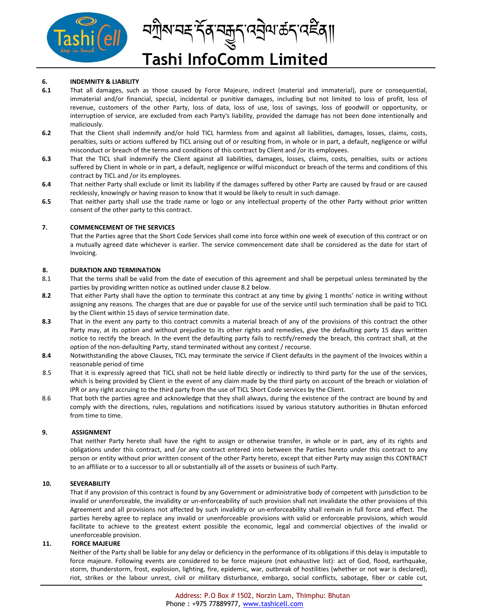

# **6. INDEMNITY & LIABILITY**

- **6.1** That all damages, such as those caused by Force Majeure, indirect (material and immaterial), pure or consequential, immaterial and/or financial, special, incidental or punitive damages, including but not limited to loss of profit, loss of revenue, customers of the other Party, loss of data, loss of use, loss of savings, loss of goodwill or opportunity, or interruption of service, are excluded from each Party's liability, provided the damage has not been done intentionally and maliciously.
- **6.2** That the Client shall indemnify and/or hold TICL harmless from and against all liabilities, damages, losses, claims, costs, penalties, suits or actions suffered by TICL arising out of or resulting from, in whole or in part, a default, negligence or wilful misconduct or breach of the terms and conditions of this contract by Client and /or its employees.
- **6.3** That the TICL shall indemnify the Client against all liabilities, damages, losses, claims, costs, penalties, suits or actions suffered by Client in whole or in part, a default, negligence or wilful misconduct or breach of the terms and conditions of this contract by TICL and /or its employees.
- **6.4** That neither Party shall exclude or limit its liability if the damages suffered by other Party are caused by fraud or are caused recklessly, knowingly or having reason to know that it would be likely to result in such damage.
- **6.5** That neither party shall use the trade name or logo or any intellectual property of the other Party without prior written consent of the other party to this contract.

# **7. COMMENCEMENT OF THE SERVICES**

That the Parties agree that the Short Code Services shall come into force within one week of execution of this contract or on a mutually agreed date whichever is earlier. The service commencement date shall be considered as the date for start of Invoicing.

# **8. DURATION AND TERMINATION**

- 8.1 That the terms shall be valid from the date of execution of this agreement and shall be perpetual unless terminated by the parties by providing written notice as outlined under clause 8.2 below.
- **8.2** That either Party shall have the option to terminate this contract at any time by giving 1 months' notice in writing without assigning any reasons. The charges that are due or payable for use of the service until such termination shall be paid to TICL by the Client within 15 days of service termination date.
- **8.3** That in the event any party to this contract commits a material breach of any of the provisions of this contract the other Party may, at its option and without prejudice to its other rights and remedies, give the defaulting party 15 days written notice to rectify the breach. In the event the defaulting party fails to rectify/remedy the breach, this contract shall, at the option of the non-defaulting Party, stand terminated without any contest / recourse.
- **8.4** Notwithstanding the above Clauses, TICL may terminate the service if Client defaults in the payment of the Invoices within a reasonable period of time
- 8.5 That it is expressly agreed that TICL shall not be held liable directly or indirectly to third party for the use of the services, which is being provided by Client in the event of any claim made by the third party on account of the breach or violation of IPR or any right accruing to the third party from the use of TICL Short Code services by the Client.
- 8.6 That both the parties agree and acknowledge that they shall always, during the existence of the contract are bound by and comply with the directions, rules, regulations and notifications issued by various statutory authorities in Bhutan enforced from time to time.

#### **9. ASSIGNMENT**

That neither Party hereto shall have the right to assign or otherwise transfer, in whole or in part, any of its rights and obligations under this contract, and /or any contract entered into between the Parties hereto under this contract to any person or entity without prior written consent of the other Party hereto, except that either Party may assign this CONTRACT to an affiliate or to a successor to all or substantially all of the assets or business of such Party.

#### **10. SEVERABILITY**

That if any provision of this contract is found by any Government or administrative body of competent with jurisdiction to be invalid or unenforceable, the invalidity or un-enforceability of such provision shall not invalidate the other provisions of this Agreement and all provisions not affected by such invalidity or un-enforceability shall remain in full force and effect. The parties hereby agree to replace any invalid or unenforceable provisions with valid or enforceable provisions, which would facilitate to achieve to the greatest extent possible the economic, legal and commercial objectives of the invalid or unenforceable provision.

#### **11. FORCE MAJEURE**

Neither of the Party shall be liable for any delay or deficiency in the performance of its obligations if this delay is imputable to force majeure. Following events are considered to be force majeure (not exhaustive list): act of God, flood, earthquake, storm, thunderstorm, frost, explosion, lighting, fire, epidemic, war, outbreak of hostilities (whether or not war is declared), riot, strikes or the labour unrest, civil or military disturbance, embargo, social conflicts, sabotage, fiber or cable cut,